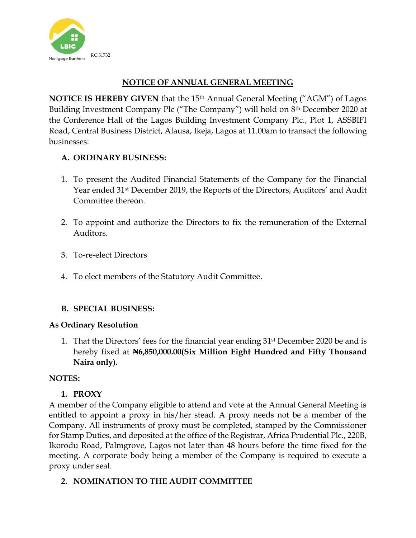

# **NOTICE OF ANNUAL GENERAL MEETING**

**NOTICE IS HEREBY GIVEN** that the 15<sup>th</sup> Annual General Meeting ("AGM") of Lagos Building Investment Company Plc ("The Company") will hold on 8<sup>th</sup> December 2020 at the Conference Hall of the Lagos Building Investment Company Plc., Plot 1, ASSBIFI Road, Central Business District, Alausa, Ikeja, Lagos at 11.00am to transact the following businesses:

## **A. ORDINARY BUSINESS:**

- 1. To present the Audited Financial Statements of the Company for the Financial Year ended 31st December 2019, the Reports of the Directors, Auditors' and Audit Committee thereon.
- 2. To appoint and authorize the Directors to fix the remuneration of the External Auditors.
- 3. To-re-elect Directors
- 4. To elect members of the Statutory Audit Committee.

### **B. SPECIAL BUSINESS:**

### **As Ordinary Resolution**

1. That the Directors' fees for the financial year ending 31st December 2020 be and is hereby fixed at **₦6,850,000.00(Six Million Eight Hundred and Fifty Thousand Naira only).**

### **NOTES:**

### **1. PROXY**

A member of the Company eligible to attend and vote at the Annual General Meeting is entitled to appoint a proxy in his/her stead. A proxy needs not be a member of the Company. All instruments of proxy must be completed, stamped by the Commissioner for Stamp Duties, and deposited at the office of the Registrar, Africa Prudential Plc., 220B, Ikorodu Road, Palmgrove, Lagos not later than 48 hours before the time fixed for the meeting. A corporate body being a member of the Company is required to execute a proxy under seal.

**2. NOMINATION TO THE AUDIT COMMITTEE**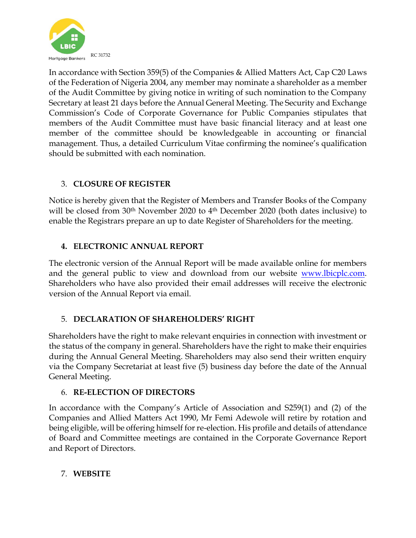

In accordance with Section 359(5) of the Companies & Allied Matters Act, Cap C20 Laws of the Federation of Nigeria 2004, any member may nominate a shareholder as a member of the Audit Committee by giving notice in writing of such nomination to the Company Secretary at least 21 days before the Annual General Meeting. The Security and Exchange Commission's Code of Corporate Governance for Public Companies stipulates that members of the Audit Committee must have basic financial literacy and at least one member of the committee should be knowledgeable in accounting or financial management. Thus, a detailed Curriculum Vitae confirming the nominee's qualification should be submitted with each nomination.

## 3. **CLOSURE OF REGISTER**

Notice is hereby given that the Register of Members and Transfer Books of the Company will be closed from 30<sup>th</sup> November 2020 to 4<sup>th</sup> December 2020 (both dates inclusive) to enable the Registrars prepare an up to date Register of Shareholders for the meeting.

## **4. ELECTRONIC ANNUAL REPORT**

The electronic version of the Annual Report will be made available online for members and the general public to view and download from our website [www.lbicplc.com.](http://www.lbicplc.com/) Shareholders who have also provided their email addresses will receive the electronic version of the Annual Report via email.

### 5. **DECLARATION OF SHAREHOLDERS' RIGHT**

Shareholders have the right to make relevant enquiries in connection with investment or the status of the company in general. Shareholders have the right to make their enquiries during the Annual General Meeting. Shareholders may also send their written enquiry via the Company Secretariat at least five (5) business day before the date of the Annual General Meeting.

### 6. **RE-ELECTION OF DIRECTORS**

In accordance with the Company's Article of Association and S259(1) and (2) of the Companies and Allied Matters Act 1990, Mr Femi Adewole will retire by rotation and being eligible, will be offering himself for re-election. His profile and details of attendance of Board and Committee meetings are contained in the Corporate Governance Report and Report of Directors.

### 7. **WEBSITE**